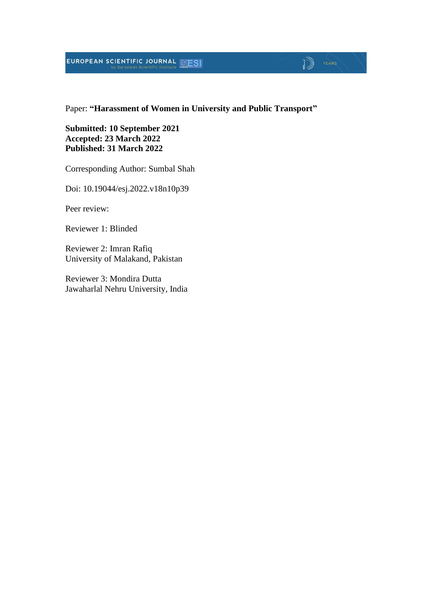# **EUROPEAN SCIENTIFIC JOURNAL EXESI**

#### Paper: **"Harassment of Women in University and Public Transport"**

 $\sqrt{2}$   $\sqrt{2}$ 

#### **Submitted: 10 September 2021 Accepted: 23 March 2022 Published: 31 March 2022**

Corresponding Author: Sumbal Shah

Doi: 10.19044/esj.2022.v18n10p39

Peer review:

Reviewer 1: Blinded

Reviewer 2: Imran Rafiq University of Malakand, Pakistan

Reviewer 3: Mondira Dutta Jawaharlal Nehru University, India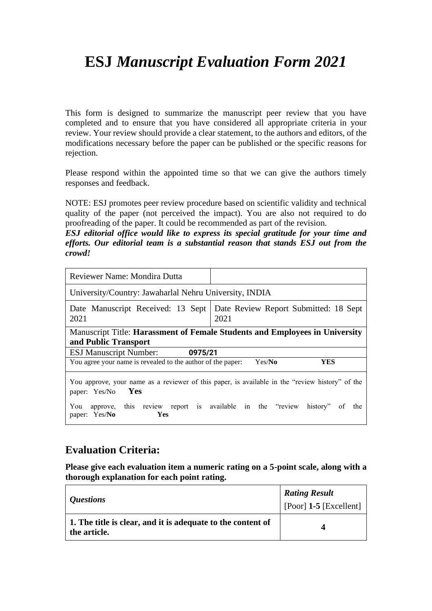# **ESJ** *Manuscript Evaluation Form 2021*

This form is designed to summarize the manuscript peer review that you have completed and to ensure that you have considered all appropriate criteria in your review. Your review should provide a clear statement, to the authors and editors, of the modifications necessary before the paper can be published or the specific reasons for rejection.

Please respond within the appointed time so that we can give the authors timely responses and feedback.

NOTE: ESJ promotes peer review procedure based on scientific validity and technical quality of the paper (not perceived the impact). You are also not required to do proofreading of the paper. It could be recommended as part of the revision.

*ESJ editorial office would like to express its special gratitude for your time and efforts. Our editorial team is a substantial reason that stands ESJ out from the crowd!*

| Reviewer Name: Mondira Dutta                                                                                   |                                                                                                                          |  |
|----------------------------------------------------------------------------------------------------------------|--------------------------------------------------------------------------------------------------------------------------|--|
| University/Country: Jawaharlal Nehru University, INDIA                                                         |                                                                                                                          |  |
| Date Manuscript Received: 13 Sept<br>2021                                                                      | Date Review Report Submitted: 18 Sept<br>2021                                                                            |  |
| Manuscript Title: Harassment of Female Students and Employees in University<br>and Public Transport            |                                                                                                                          |  |
| <b>ESJ Manuscript Number:</b><br>0975/21                                                                       |                                                                                                                          |  |
| You agree your name is revealed to the author of the paper:                                                    | Yes/No<br>YES                                                                                                            |  |
| Yes<br>paper: Yes/No<br>approve, this review report is available in the "review<br>You<br>paper: Yes/No<br>Yes | You approve, your name as a reviewer of this paper, is available in the "review history" of the<br>history"<br>0f<br>the |  |

### **Evaluation Criteria:**

**Please give each evaluation item a numeric rating on a 5-point scale, along with a thorough explanation for each point rating.**

| <i>Questions</i>                                                            | <b>Rating Result</b><br>$[Poor]$ 1-5 $[Excellent]$ |
|-----------------------------------------------------------------------------|----------------------------------------------------|
| 1. The title is clear, and it is adequate to the content of<br>the article. | Δ                                                  |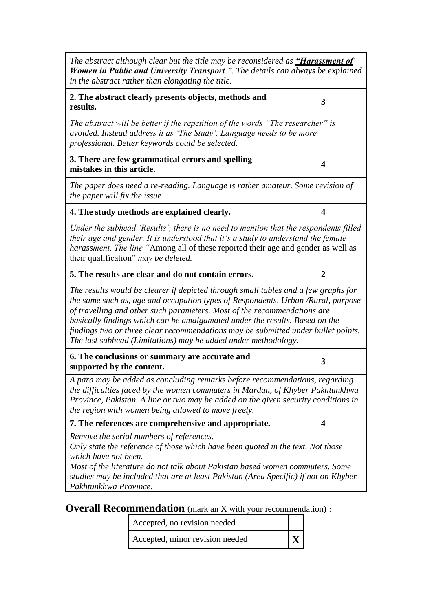| The abstract although clear but the title may be reconsidered as <b>"Harassment of</b><br><b>Women in Public and University Transport</b> ". The details can always be explained<br>in the abstract rather than elongating the title.                                                                                                                                                                                                                                                    |   |  |
|------------------------------------------------------------------------------------------------------------------------------------------------------------------------------------------------------------------------------------------------------------------------------------------------------------------------------------------------------------------------------------------------------------------------------------------------------------------------------------------|---|--|
| 2. The abstract clearly presents objects, methods and<br>results.                                                                                                                                                                                                                                                                                                                                                                                                                        | 3 |  |
| The abstract will be better if the repetition of the words "The researcher" is<br>avoided. Instead address it as 'The Study'. Language needs to be more<br>professional. Better keywords could be selected.                                                                                                                                                                                                                                                                              |   |  |
| 3. There are few grammatical errors and spelling<br>mistakes in this article.                                                                                                                                                                                                                                                                                                                                                                                                            | 4 |  |
| The paper does need a re-reading. Language is rather amateur. Some revision of<br>the paper will fix the issue                                                                                                                                                                                                                                                                                                                                                                           |   |  |
| 4. The study methods are explained clearly.                                                                                                                                                                                                                                                                                                                                                                                                                                              | 4 |  |
| Under the subhead 'Results', there is no need to mention that the respondents filled<br>their age and gender. It is understood that it's a study to understand the female<br>harassment. The line "Among all of these reported their age and gender as well as<br>their qualification" may be deleted.                                                                                                                                                                                   |   |  |
| 5. The results are clear and do not contain errors.                                                                                                                                                                                                                                                                                                                                                                                                                                      | 2 |  |
| The results would be clearer if depicted through small tables and a few graphs for<br>the same such as, age and occupation types of Respondents, Urban /Rural, purpose<br>of travelling and other such parameters. Most of the recommendations are<br>basically findings which can be amalgamated under the results. Based on the<br>findings two or three clear recommendations may be submitted under bullet points.<br>The last subhead (Limitations) may be added under methodology. |   |  |
| 6. The conclusions or summary are accurate and<br>supported by the content.                                                                                                                                                                                                                                                                                                                                                                                                              | 3 |  |
| A para may be added as concluding remarks before recommendations, regarding<br>the difficulties faced by the women commuters in Mardan, of Khyber Pakhtunkhwa<br>Province, Pakistan. A line or two may be added on the given security conditions in<br>the region with women being allowed to move freely.                                                                                                                                                                               |   |  |
| 7. The references are comprehensive and appropriate.                                                                                                                                                                                                                                                                                                                                                                                                                                     | 4 |  |
| Remove the serial numbers of references.<br>Only state the reference of those which have been quoted in the text. Not those<br>which have not been.<br>Most of the literature do not talk about Pakistan based women commuters. Some<br>studies may be included that are at least Pakistan (Area Specific) if not on Khyber<br>Pakhtunkhwa Province,                                                                                                                                     |   |  |

**Overall Recommendation** (mark an X with your recommendation):

| Accepted, no revision needed    |  |
|---------------------------------|--|
| Accepted, minor revision needed |  |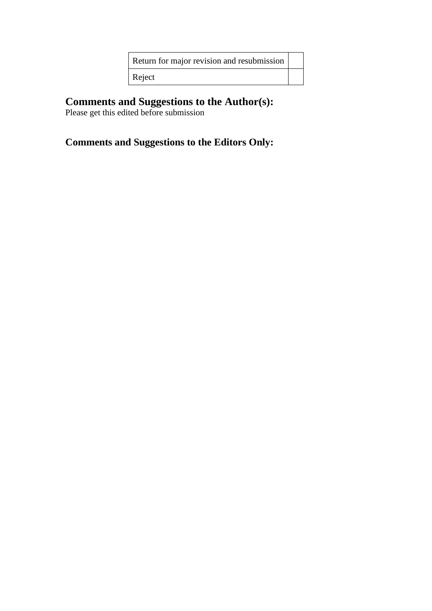| Return for major revision and resubmission |  |
|--------------------------------------------|--|
| Reject                                     |  |

### **Comments and Suggestions to the Author(s):**

Please get this edited before submission

# **Comments and Suggestions to the Editors Only:**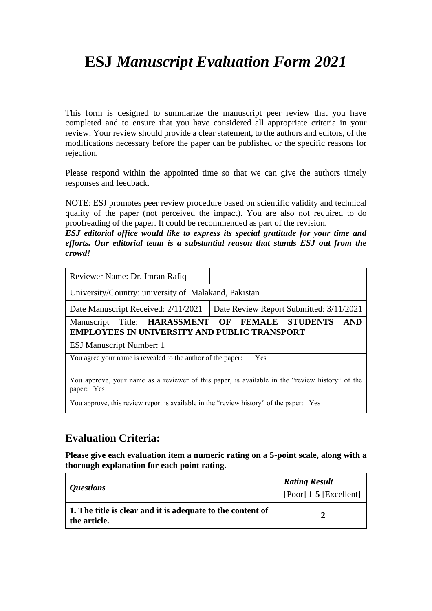# **ESJ** *Manuscript Evaluation Form 2021*

This form is designed to summarize the manuscript peer review that you have completed and to ensure that you have considered all appropriate criteria in your review. Your review should provide a clear statement, to the authors and editors, of the modifications necessary before the paper can be published or the specific reasons for rejection.

Please respond within the appointed time so that we can give the authors timely responses and feedback.

NOTE: ESJ promotes peer review procedure based on scientific validity and technical quality of the paper (not perceived the impact). You are also not required to do proofreading of the paper. It could be recommended as part of the revision.

*ESJ editorial office would like to express its special gratitude for your time and efforts. Our editorial team is a substantial reason that stands ESJ out from the crowd!*

| Reviewer Name: Dr. Imran Rafiq                                                                                |                                                    |  |
|---------------------------------------------------------------------------------------------------------------|----------------------------------------------------|--|
| University/Country: university of Malakand, Pakistan                                                          |                                                    |  |
| Date Manuscript Received: 2/11/2021                                                                           | Date Review Report Submitted: 3/11/2021            |  |
| Manuscript<br><b>EMPLOYEES IN UNIVERSITY AND PUBLIC TRANSPORT</b>                                             | Title: HARASSMENT OF FEMALE STUDENTS<br><b>AND</b> |  |
| <b>ESJ Manuscript Number: 1</b>                                                                               |                                                    |  |
| You agree your name is revealed to the author of the paper:<br>Yes                                            |                                                    |  |
| You approve, your name as a reviewer of this paper, is available in the "review history" of the<br>paper: Yes |                                                    |  |
| You approve, this review report is available in the "review history" of the paper: Yes                        |                                                    |  |

### **Evaluation Criteria:**

**Please give each evaluation item a numeric rating on a 5-point scale, along with a thorough explanation for each point rating.**

| <i>Questions</i>                                                           | <b>Rating Result</b><br>$[$ [Poor] 1-5 [Excellent] |
|----------------------------------------------------------------------------|----------------------------------------------------|
| 1. The title is clear and it is adequate to the content of<br>the article. |                                                    |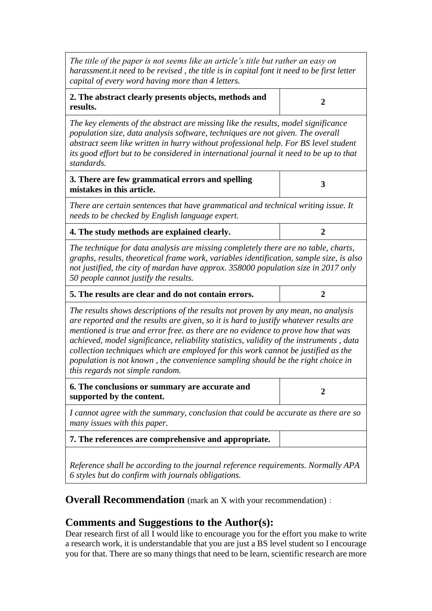| The title of the paper is not seems like an article's title but rather an easy on<br>harassment.it need to be revised, the title is in capital font it need to be first letter<br>capital of every word having more than 4 letters.                                                                                                                                                                                                                                                                                                                                  |                |  |
|----------------------------------------------------------------------------------------------------------------------------------------------------------------------------------------------------------------------------------------------------------------------------------------------------------------------------------------------------------------------------------------------------------------------------------------------------------------------------------------------------------------------------------------------------------------------|----------------|--|
| 2. The abstract clearly presents objects, methods and<br>results.                                                                                                                                                                                                                                                                                                                                                                                                                                                                                                    | $\overline{2}$ |  |
| The key elements of the abstract are missing like the results, model significance<br>population size, data analysis software, techniques are not given. The overall<br>abstract seem like written in hurry without professional help. For BS level student<br>its good effort but to be considered in international journal it need to be up to that<br>standards.                                                                                                                                                                                                   |                |  |
| 3. There are few grammatical errors and spelling<br>mistakes in this article.                                                                                                                                                                                                                                                                                                                                                                                                                                                                                        | 3              |  |
| There are certain sentences that have grammatical and technical writing issue. It<br>needs to be checked by English language expert.                                                                                                                                                                                                                                                                                                                                                                                                                                 |                |  |
| 4. The study methods are explained clearly.                                                                                                                                                                                                                                                                                                                                                                                                                                                                                                                          | $\overline{2}$ |  |
| The technique for data analysis are missing completely there are no table, charts,<br>graphs, results, theoretical frame work, variables identification, sample size, is also<br>not justified, the city of mardan have approx. 358000 population size in 2017 only<br>50 people cannot justify the results.                                                                                                                                                                                                                                                         |                |  |
| 5. The results are clear and do not contain errors.<br>$\overline{2}$                                                                                                                                                                                                                                                                                                                                                                                                                                                                                                |                |  |
| The results shows descriptions of the results not proven by any mean, no analysis<br>are reported and the results are given, so it is hard to justify whatever results are<br>mentioned is true and error free. as there are no evidence to prove how that was<br>achieved, model significance, reliability statistics, validity of the instruments, data<br>collection techniques which are employed for this work cannot be justified as the<br>population is not known, the convenience sampling should be the right choice in<br>this regards not simple random. |                |  |
| 6. The conclusions or summary are accurate and<br>supported by the content.                                                                                                                                                                                                                                                                                                                                                                                                                                                                                          | 2              |  |
| I cannot agree with the summary, conclusion that could be accurate as there are so<br>many issues with this paper.                                                                                                                                                                                                                                                                                                                                                                                                                                                   |                |  |
| 7. The references are comprehensive and appropriate.                                                                                                                                                                                                                                                                                                                                                                                                                                                                                                                 |                |  |
| Reference shall be according to the journal reference requirements. Normally APA<br>6 styles but do confirm with journals obligations.                                                                                                                                                                                                                                                                                                                                                                                                                               |                |  |

**Overall Recommendation** (mark an X with your recommendation):

## **Comments and Suggestions to the Author(s):**

Dear research first of all I would like to encourage you for the effort you make to write a research work, it is understandable that you are just a BS level student so I encourage you for that. There are so many things that need to be learn, scientific research are more